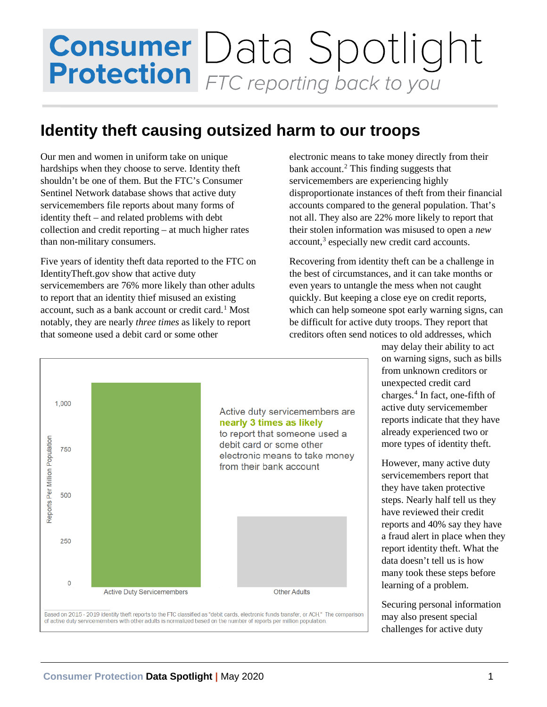# **Consumer** Data Spotlight

### **Identity theft causing outsized harm to our troops**

Our men and women in uniform take on unique hardships when they choose to serve. Identity theft shouldn't be one of them. But the FTC's Consumer Sentinel Network database shows that active duty servicemembers file reports about many forms of identity theft – and related problems with debt collection and credit reporting – at much higher rates than non-military consumers.

Five years of identity theft data reported to the FTC on IdentityTheft.gov show that active duty servicemembers are 76% more likely than other adults to report that an identity thief misused an existing account, such as a bank account or credit card.<sup>[1](#page-1-0)</sup> Most notably, they are nearly *three times* as likely to report that someone used a debit card or some other

electronic means to take money directly from their bank account. $<sup>2</sup>$  $<sup>2</sup>$  $<sup>2</sup>$  This finding suggests that</sup> servicemembers are experiencing highly disproportionate instances of theft from their financial accounts compared to the general population. That's not all. They also are 22% more likely to report that their stolen information was misused to open a *new*  account,<sup>3</sup> especially new credit card accounts.

Recovering from identity theft can be a challenge in the best of circumstances, and it can take months or even years to untangle the mess when not caught quickly. But keeping a close eye on credit reports, which can help someone spot early warning signs, can be difficult for active duty troops. They report that creditors often send notices to old addresses, which

> may delay their ability to act on warning signs, such as bills from unknown creditors or unexpected credit card charges. [4](#page-2-2) In fact, one-fifth of active duty servicemember reports indicate that they have already experienced two or more types of identity theft.

However, many active duty servicemembers report that they have taken protective steps. Nearly half tell us they have reviewed their credit reports and 40% say they have a fraud alert in place when they report identity theft. What the data doesn't tell us is how many took these steps before learning of a problem.

Securing personal information may also present special challenges for active duty



**Consumer Protection Data Spotlight |** May 2020 1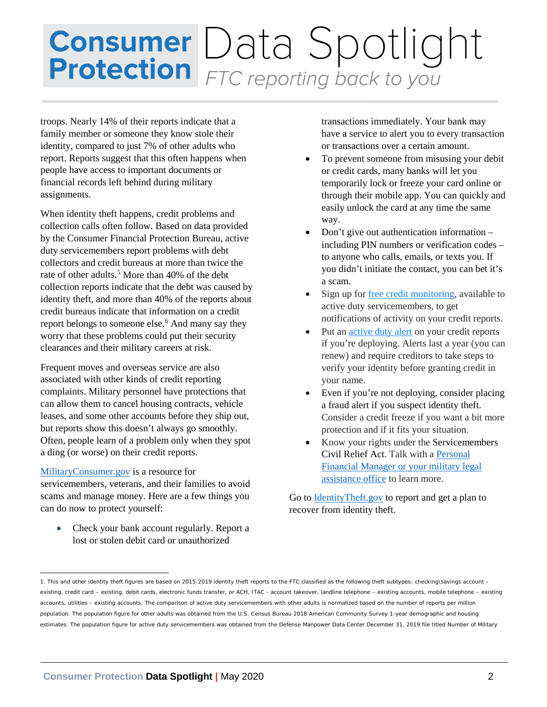## **Consumer** Data Spotlight<br>**Protection** FTC reporting back to you

troops. Nearly 14% of their reports indicate that a family member or someone they know stole their identity, compared to just 7% of other adults who report. Reports suggest that this often happens when people have access to important documents or financial records left behind during military assignments.

When identity theft happens, credit problems and collection calls often follow. Based on data provided by the Consumer Financial Protection Bureau, active duty servicemembers report problems with debt collectors and credit bureaus at more than twice the rate of other adults.<sup>5</sup> More than 40% of the debt collection reports indicate that the debt was caused by identity theft, and more than 40% of the reports about credit bureaus indicate that information on a credit report belongs to someone else. [6](#page-2-4) And many say they worry that these problems could put their security clearances and their military careers at risk.

Frequent moves and overseas service are also associated with other kinds of credit reporting complaints. Military personnel have protections that can allow them to cancel housing contracts, vehicle leases, and some other accounts before they ship out, but reports show this doesn't always go smoothly. Often, people learn of a problem only when they spot a ding (or worse) on their credit reports.

### [MilitaryConsumer.gov](http://www.militaryconsumer.gov/) is a resource for

servicemembers, veterans, and their families to avoid scams and manage money. Here are a few things you can do now to protect yourself:

• Check your bank account regularly. Report a lost or stolen debit card or unauthorized

transactions immediately. Your bank may have a service to alert you to every transaction or transactions over a certain amount.

- To prevent someone from misusing your debit or credit cards, many banks will let you temporarily lock or freeze your card online or through their mobile app. You can quickly and easily unlock the card at any time the same way.
- Don't give out authentication information including PIN numbers or verification codes – to anyone who calls, emails, or texts you. If you didn't initiate the contact, you can bet it's a scam.
- Sign up for [free credit monitoring,](https://www.consumer.ftc.gov/blog/2019/10/free-electronic-credit-monitoring-coming-soon-military) available to active duty servicemembers, to get notifications of activity on your credit reports.
- Put an [active duty alert](https://www.consumer.ftc.gov/articles/0273-active-duty-alerts) on your credit reports if you're deploying. Alerts last a year (you can renew) and require creditors to take steps to verify your identity before granting credit in your name.
- Even if you're not deploying, consider placing a fraud alert if you suspect identity theft. Consider a credit freeze if you want a bit more protection and if it fits your situation.
- Know your rights under the Servicemembers Civil Relief Act. Talk with a [Personal](https://www.militaryconsumer.gov/spend/getting-started/personal-financial-managers-pfms-other-financial-counselors-and-legal-help) [Financial Manager or your military legal](https://www.militaryconsumer.gov/spend/getting-started/personal-financial-managers-pfms-other-financial-counselors-and-legal-help) [assistance](https://www.militaryconsumer.gov/spend/getting-started/personal-financial-managers-pfms-other-financial-counselors-and-legal-help) office to learn more.

Go to **IdentityTheft.gov** to report and get a plan to recover from identity theft.

<span id="page-1-0"></span><sup>1.</sup> This and other identity theft figures are based on 2015-2019 identity theft reports to the FTC classified as the following theft subtypes: checking\savings account – existing, credit card - existing, debit cards, electronic funds transfer, or ACH, ITAC - account takeover, landline telephone - existing accounts, mobile telephone - existing accounts, utilities – existing accounts. The comparison of active duty servicemembers with other adults is normalized based on the number of reports per million population. The population figure for other adults was obtained from the U.S. Census Bureau 2018 American Community Survey 1-year demographic and housing estimates. The population figure for active duty servicemembers was obtained from the Defense Manpower Data Center December 31, 2019 file titled Number of Military